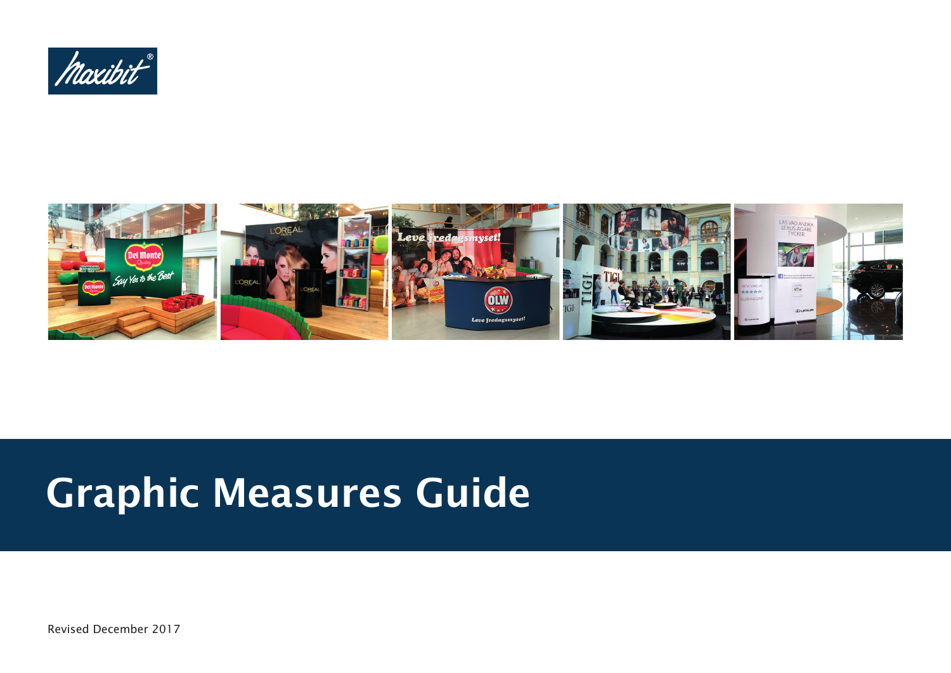



# Graphic Measures Guide

Revised December 2017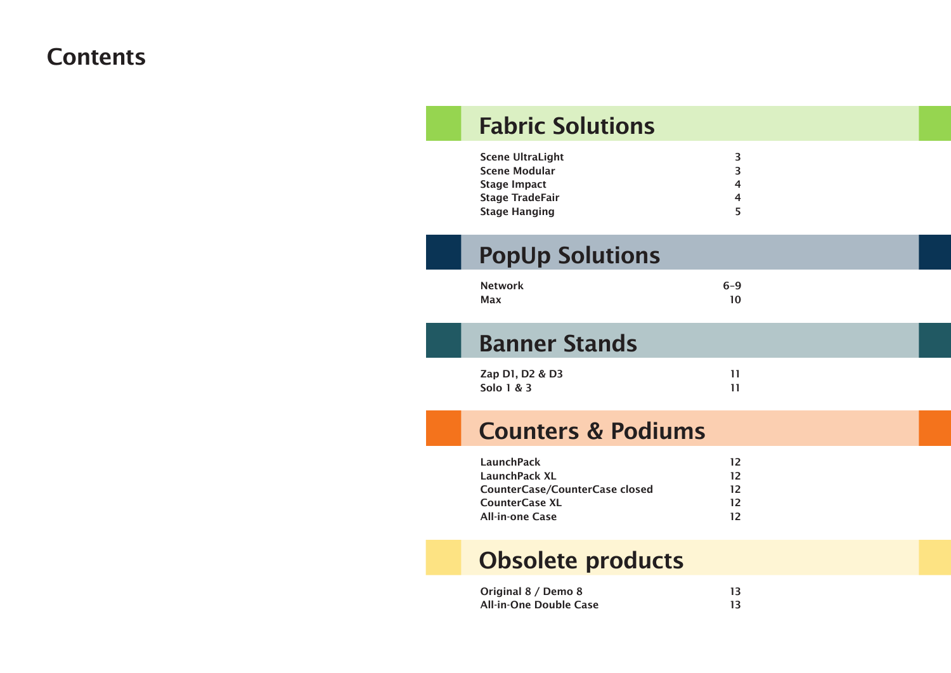#### **Contents**

# Fabric Solutions

| Scene UltraLight | 3 |
|------------------|---|
| Scene Modular    | З |
| Stage Impact     | 4 |
| Stage TradeFair  | 4 |
| Stage Hanging    | 5 |

# PopUp Solutions

| <b>Network</b> | $6 - 9$ |
|----------------|---------|
| Max            | 10      |

### Banner Stands

| Zap D1, D2 & D3 |  |
|-----------------|--|
| Solo 1 & 3      |  |

### Counters & Podiums

| 12 |
|----|
| 12 |
| 12 |
| 12 |
| 12 |
|    |

## Obsolete products

| Original 8 / Demo 8    | 13. |
|------------------------|-----|
| All-in-One Double Case |     |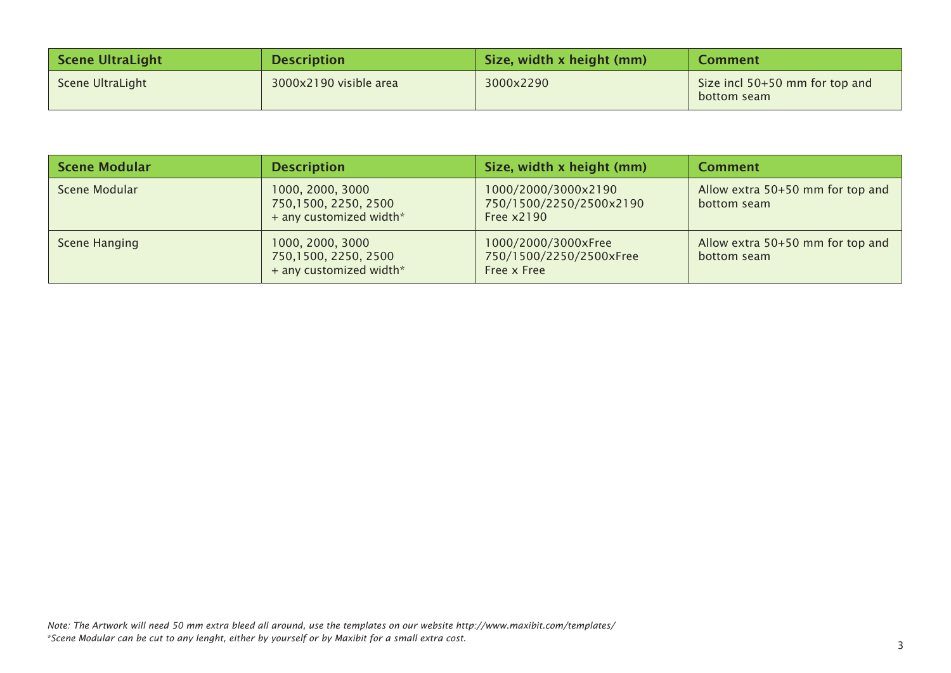| <b>Scene UltraLight</b> | <b>Description</b>     | Size, width x height (mm) | <b>Comment</b>                                |
|-------------------------|------------------------|---------------------------|-----------------------------------------------|
| Scene UltraLight        | 3000x2190 visible area | 3000x2290                 | Size incl 50+50 mm for top and<br>bottom seam |

| <b>Scene Modular</b> | <b>Description</b>                                                  | Size, width x height (mm)                                     | <b>Comment</b>                                  |
|----------------------|---------------------------------------------------------------------|---------------------------------------------------------------|-------------------------------------------------|
| Scene Modular        | 1000, 2000, 3000<br>750,1500, 2250, 2500<br>+ any customized width* | 1000/2000/3000x2190<br>750/1500/2250/2500x2190<br>Free x2190  | Allow extra 50+50 mm for top and<br>bottom seam |
| Scene Hanging        | 1000, 2000, 3000<br>750,1500, 2250, 2500<br>+ any customized width* | 1000/2000/3000xFree<br>750/1500/2250/2500xFree<br>Free x Free | Allow extra 50+50 mm for top and<br>bottom seam |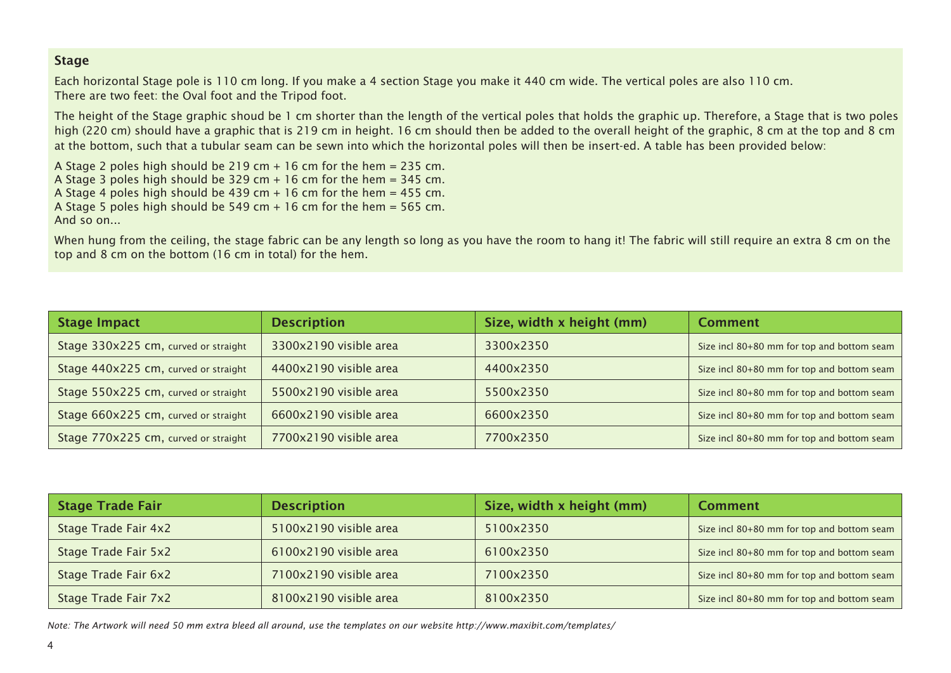#### **Stage**

Each horizontal Stage pole is 110 cm long. If you make a 4 section Stage you make it 440 cm wide. The vertical poles are also 110 cm. There are two feet: the Oval foot and the Tripod foot.

The height of the Stage graphic shoud be 1 cm shorter than the length of the vertical poles that holds the graphic up. Therefore, a Stage that is two poles high (220 cm) should have a graphic that is 219 cm in height. 16 cm should then be added to the overall height of the graphic, 8 cm at the top and 8 cm at the bottom, such that a tubular seam can be sewn into which the horizontal poles will then be insert-ed. A table has been provided below:

A Stage 2 poles high should be 219 cm + 16 cm for the hem = 235 cm. A Stage 3 poles high should be 329 cm  $+$  16 cm for the hem = 345 cm. A Stage 4 poles high should be 439 cm + 16 cm for the hem = 455 cm. A Stage 5 poles high should be 549 cm + 16 cm for the hem = 565 cm. And so on...

When hung from the ceiling, the stage fabric can be any length so long as you have the room to hang it! The fabric will still require an extra 8 cm on the top and 8 cm on the bottom (16 cm in total) for the hem.

| <b>Stage Impact</b>                  | <b>Description</b>     | Size, width x height (mm) | <b>Comment</b>                             |
|--------------------------------------|------------------------|---------------------------|--------------------------------------------|
| Stage 330x225 cm, curved or straight | 3300x2190 visible area | 3300x2350                 | Size incl 80+80 mm for top and bottom seam |
| Stage 440x225 cm, curved or straight | 4400x2190 visible area | 4400x2350                 | Size incl 80+80 mm for top and bottom seam |
| Stage 550x225 cm, curved or straight | 5500x2190 visible area | 5500x2350                 | Size incl 80+80 mm for top and bottom seam |
| Stage 660x225 cm, curved or straight | 6600x2190 visible area | 6600x2350                 | Size incl 80+80 mm for top and bottom seam |
| Stage 770x225 cm, curved or straight | 7700x2190 visible area | 7700x2350                 | Size incl 80+80 mm for top and bottom seam |

| <b>Stage Trade Fair</b> | <b>Description</b>     | Size, width x height (mm) | <b>Comment</b>                             |
|-------------------------|------------------------|---------------------------|--------------------------------------------|
| Stage Trade Fair 4x2    | 5100x2190 visible area | 5100x2350                 | Size incl 80+80 mm for top and bottom seam |
| Stage Trade Fair 5x2    | 6100x2190 visible area | 6100x2350                 | Size incl 80+80 mm for top and bottom seam |
| Stage Trade Fair 6x2    | 7100x2190 visible area | 7100x2350                 | Size incl 80+80 mm for top and bottom seam |
| Stage Trade Fair 7x2    | 8100x2190 visible area | 8100x2350                 | Size incl 80+80 mm for top and bottom seam |

*Note: The Artwork will need 50 mm extra bleed all around, use the templates on our website http://www.maxibit.com/templates/*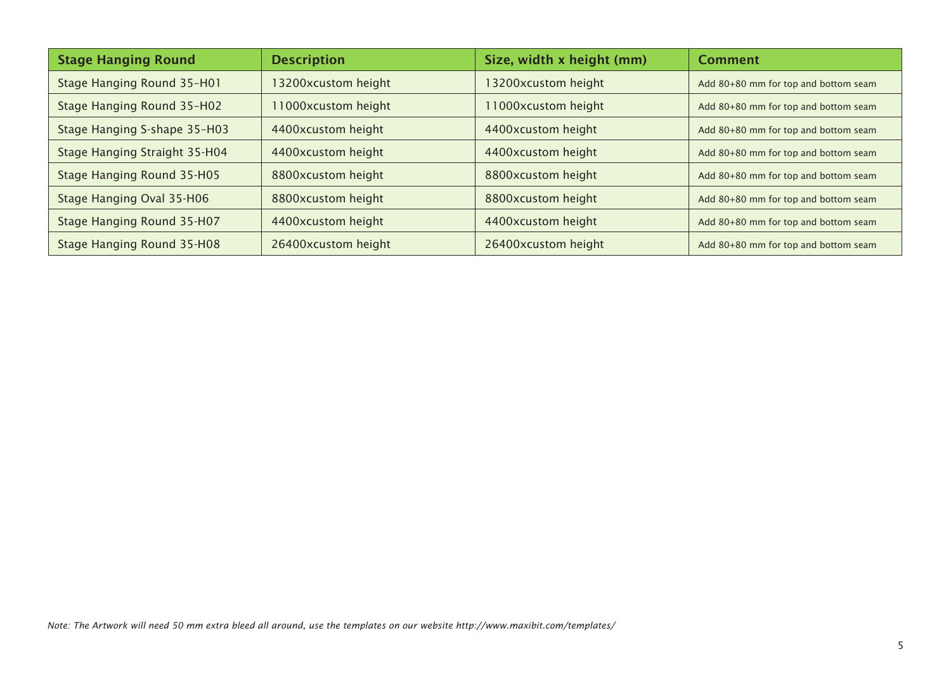| <b>Stage Hanging Round</b>    | <b>Description</b>  | Size, width x height (mm) | <b>Comment</b>                       |
|-------------------------------|---------------------|---------------------------|--------------------------------------|
| Stage Hanging Round 35-H01    | 13200xcustom height | 13200xcustom height       | Add 80+80 mm for top and bottom seam |
| Stage Hanging Round 35-H02    | 11000xcustom height | 1000xcustom height        | Add 80+80 mm for top and bottom seam |
| Stage Hanging S-shape 35-H03  | 4400xcustom height  | 4400xcustom height        | Add 80+80 mm for top and bottom seam |
| Stage Hanging Straight 35-H04 | 4400xcustom height  | 4400xcustom height        | Add 80+80 mm for top and bottom seam |
| Stage Hanging Round 35-H05    | 8800xcustom height  | 8800xcustom height        | Add 80+80 mm for top and bottom seam |
| Stage Hanging Oval 35-H06     | 8800xcustom height  | 8800xcustom height        | Add 80+80 mm for top and bottom seam |
| Stage Hanging Round 35-H07    | 4400xcustom height  | 4400xcustom height        | Add 80+80 mm for top and bottom seam |
| Stage Hanging Round 35-H08    | 26400xcustom height | 26400xcustom height       | Add 80+80 mm for top and bottom seam |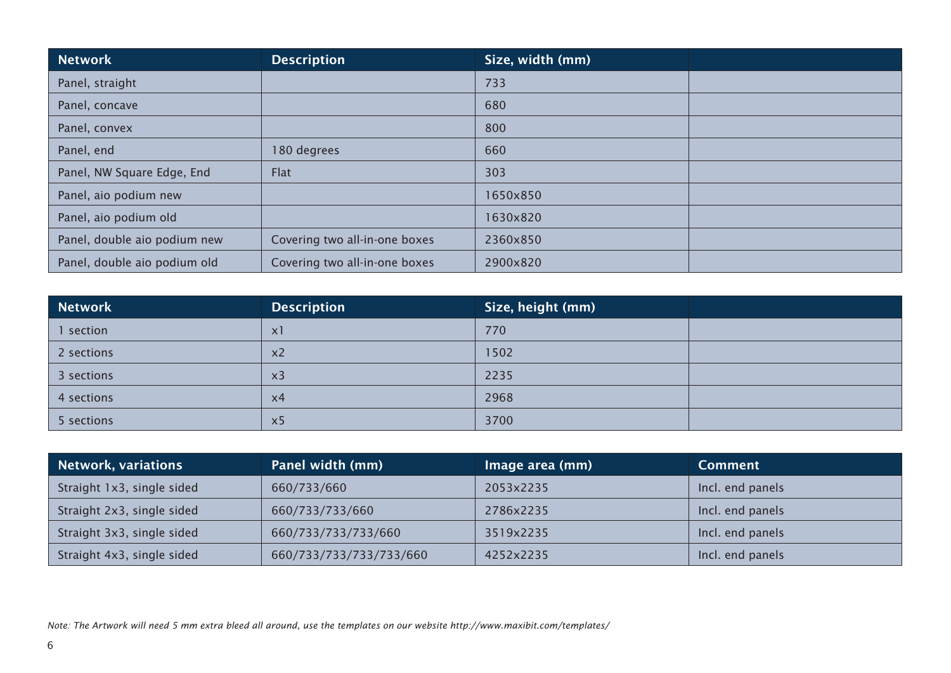| <b>Network</b>               | <b>Description</b>            | Size, width (mm) |  |
|------------------------------|-------------------------------|------------------|--|
| Panel, straight              |                               | 733              |  |
| Panel, concave               |                               | 680              |  |
| Panel, convex                |                               | 800              |  |
| Panel, end                   | 180 degrees                   | 660              |  |
| Panel, NW Square Edge, End   | Flat                          | 303              |  |
| Panel, aio podium new        |                               | 1650x850         |  |
| Panel, aio podium old        |                               | 1630×820         |  |
| Panel, double aio podium new | Covering two all-in-one boxes | 2360x850         |  |
| Panel, double aio podium old | Covering two all-in-one boxes | 2900x820         |  |

| Network    | <b>Description</b> | $\mid$ Size, height (mm) |  |
|------------|--------------------|--------------------------|--|
| I section  | X <sub>1</sub>     | 770                      |  |
| 2 sections | x <sub>2</sub>     | 1502                     |  |
| 3 sections | x <sub>3</sub>     | 2235                     |  |
| 4 sections | $\times 4$         | 2968                     |  |
| 5 sections | $\times$           | 3700                     |  |

| <b>Network, variations</b> | Panel width (mm)        | Image area (mm) | <b>Comment</b>   |
|----------------------------|-------------------------|-----------------|------------------|
| Straight 1x3, single sided | 660/733/660             | 2053x2235       | Incl. end panels |
| Straight 2x3, single sided | 660/733/733/660         | 2786x2235       | Incl. end panels |
| Straight 3x3, single sided | 660/733/733/733/660     | 3519x2235       | Incl. end panels |
| Straight 4x3, single sided | 660/733/733/733/733/660 | 4252x2235       | Incl. end panels |

*Note: The Artwork will need 5 mm extra bleed all around, use the templates on our website http://www.maxibit.com/templates/*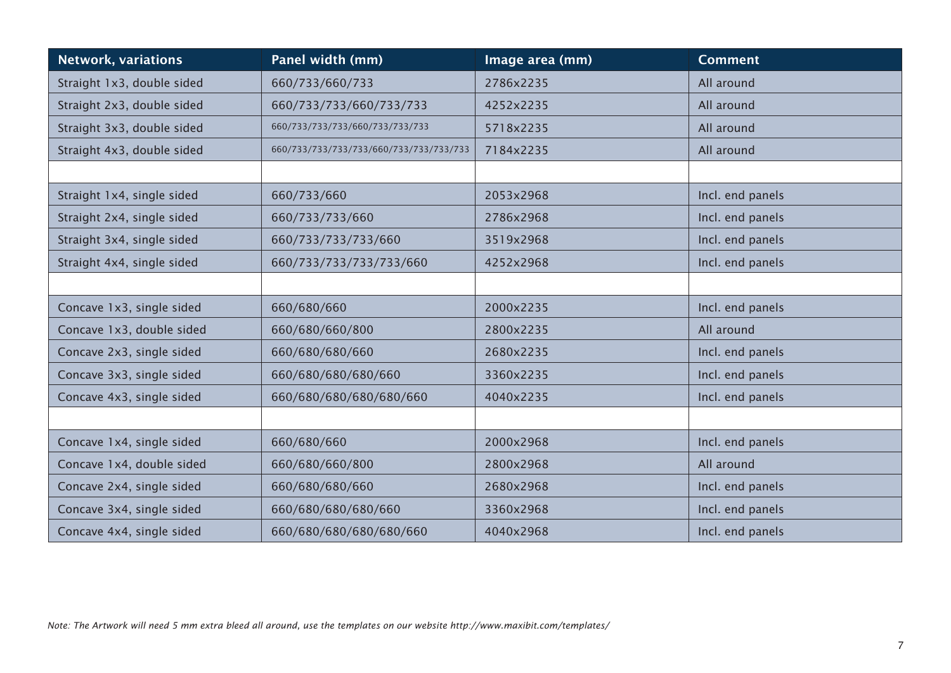| <b>Network, variations</b> | Panel width (mm)                    | Image area (mm) | <b>Comment</b>   |
|----------------------------|-------------------------------------|-----------------|------------------|
| Straight 1x3, double sided | 660/733/660/733                     | 2786x2235       | All around       |
| Straight 2x3, double sided | 660/733/733/660/733/733             | 4252x2235       | All around       |
| Straight 3x3, double sided | 660/733/733/733/660/733/733/733     | 5718x2235       | All around       |
| Straight 4x3, double sided | 660/733/733/733/660/733/733/733/733 | 7184x2235       | All around       |
|                            |                                     |                 |                  |
| Straight 1x4, single sided | 660/733/660                         | 2053x2968       | Incl. end panels |
| Straight 2x4, single sided | 660/733/733/660                     | 2786x2968       | Incl. end panels |
| Straight 3x4, single sided | 660/733/733/733/660                 | 3519x2968       | Incl. end panels |
| Straight 4x4, single sided | 660/733/733/733/733/660             | 4252x2968       | Incl. end panels |
|                            |                                     |                 |                  |
| Concave 1x3, single sided  | 660/680/660                         | 2000x2235       | Incl. end panels |
| Concave 1x3, double sided  | 660/680/660/800                     | 2800x2235       | All around       |
| Concave 2x3, single sided  | 660/680/680/660                     | 2680x2235       | Incl. end panels |
| Concave 3x3, single sided  | 660/680/680/680/660                 | 3360x2235       | Incl. end panels |
| Concave 4x3, single sided  | 660/680/680/680/680/660             | 4040x2235       | Incl. end panels |
|                            |                                     |                 |                  |
| Concave 1x4, single sided  | 660/680/660                         | 2000x2968       | Incl. end panels |
| Concave 1x4, double sided  | 660/680/660/800                     | 2800x2968       | All around       |
| Concave 2x4, single sided  | 660/680/680/660                     | 2680x2968       | Incl. end panels |
| Concave 3x4, single sided  | 660/680/680/680/660                 | 3360x2968       | Incl. end panels |
| Concave 4x4, single sided  | 660/680/680/680/680/660             | 4040x2968       | Incl. end panels |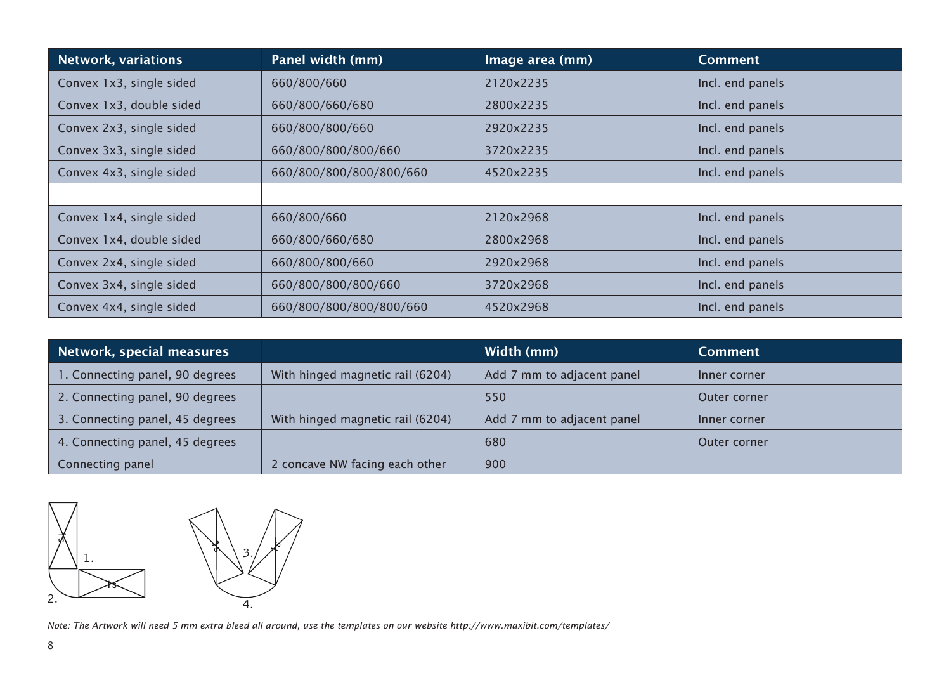| <b>Network, variations</b> | Panel width (mm)        | Image area (mm) | <b>Comment</b>   |
|----------------------------|-------------------------|-----------------|------------------|
| Convex 1x3, single sided   | 660/800/660             | 2120x2235       | Incl. end panels |
| Convex 1x3, double sided   | 660/800/660/680         | 2800x2235       | Incl. end panels |
| Convex 2x3, single sided   | 660/800/800/660         | 2920x2235       | Incl. end panels |
| Convex 3x3, single sided   | 660/800/800/800/660     | 3720x2235       | Incl. end panels |
| Convex 4x3, single sided   | 660/800/800/800/800/660 | 4520x2235       | Incl. end panels |
|                            |                         |                 |                  |
| Convex 1x4, single sided   | 660/800/660             | 2120x2968       | Incl. end panels |
| Convex 1x4, double sided   | 660/800/660/680         | 2800x2968       | Incl. end panels |
| Convex 2x4, single sided   | 660/800/800/660         | 2920x2968       | Incl. end panels |
| Convex 3x4, single sided   | 660/800/800/800/660     | 3720x2968       | Incl. end panels |
| Convex 4x4, single sided   | 660/800/800/800/800/660 | 4520x2968       | Incl. end panels |

| Network, special measures       |                                  | Width (mm)                 | <b>Comment</b> |
|---------------------------------|----------------------------------|----------------------------|----------------|
| 1. Connecting panel, 90 degrees | With hinged magnetic rail (6204) | Add 7 mm to adjacent panel | Inner corner   |
| 2. Connecting panel, 90 degrees |                                  | 550                        | Outer corner   |
| 3. Connecting panel, 45 degrees | With hinged magnetic rail (6204) | Add 7 mm to adjacent panel | Inner corner   |
| 4. Connecting panel, 45 degrees |                                  | 680                        | Outer corner   |
| Connecting panel                | 2 concave NW facing each other   | 900                        |                |



*Note: The Artwork will need 5 mm extra bleed all around, use the templates on our website http://www.maxibit.com/templates/*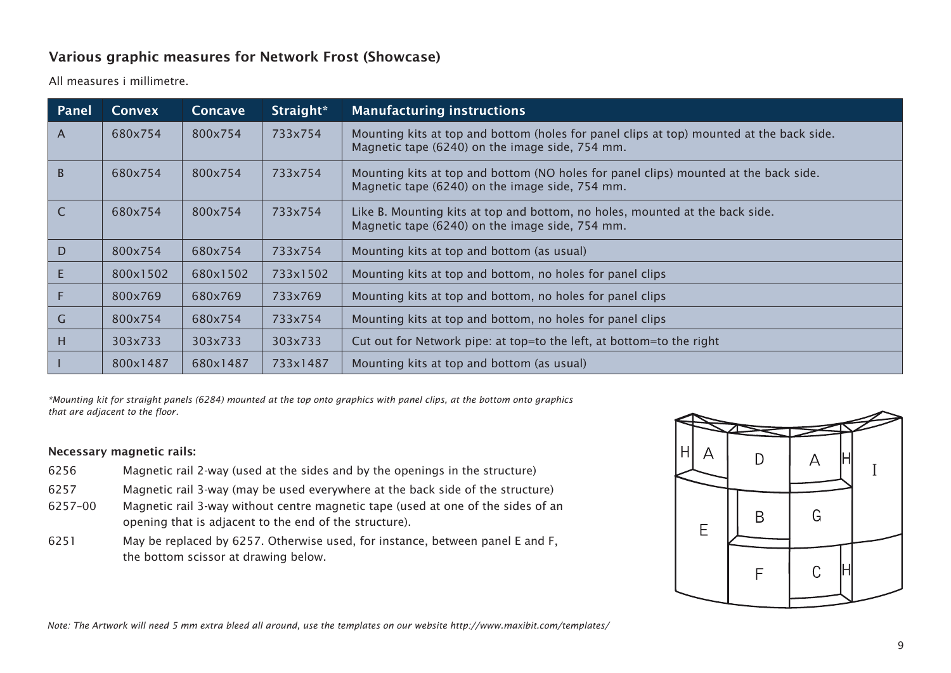#### Various graphic measures for Network Frost (Showcase)

All measures i millimetre.

| Panel        | <b>Convex</b> | <b>Concave</b> | Straight* | <b>Manufacturing instructions</b>                                                                                                           |
|--------------|---------------|----------------|-----------|---------------------------------------------------------------------------------------------------------------------------------------------|
| $\mathsf{A}$ | 680x754       | 800x754        | 733x754   | Mounting kits at top and bottom (holes for panel clips at top) mounted at the back side.<br>Magnetic tape (6240) on the image side, 754 mm. |
| $\sf{B}$     | 680x754       | 800x754        | 733x754   | Mounting kits at top and bottom (NO holes for panel clips) mounted at the back side.<br>Magnetic tape (6240) on the image side, 754 mm.     |
| $\mathsf{C}$ | 680x754       | 800x754        | 733x754   | Like B. Mounting kits at top and bottom, no holes, mounted at the back side.<br>Magnetic tape (6240) on the image side, 754 mm.             |
| D            | 800x754       | 680x754        | 733x754   | Mounting kits at top and bottom (as usual)                                                                                                  |
| E            | 800x1502      | 680x1502       | 733x1502  | Mounting kits at top and bottom, no holes for panel clips                                                                                   |
| F            | 800x769       | 680x769        | 733x769   | Mounting kits at top and bottom, no holes for panel clips                                                                                   |
| $\mathsf{G}$ | 800x754       | 680x754        | 733x754   | Mounting kits at top and bottom, no holes for panel clips                                                                                   |
| H            | 303x733       | 303x733        | 303x733   | Cut out for Network pipe: at top=to the left, at bottom=to the right                                                                        |
|              | 800x1487      | 680x1487       | 733x1487  | Mounting kits at top and bottom (as usual)                                                                                                  |

*\*Mounting kit for straight panels (6284) mounted at the top onto graphics with panel clips, at the bottom onto graphics that are adjacent to the floor.*

#### Necessary magnetic rails:

- 6256 Magnetic rail 2-way (used at the sides and by the openings in the structure)
- 6257 Magnetic rail 3-way (may be used everywhere at the back side of the structure)
- 6257–00 Magnetic rail 3-way without centre magnetic tape (used at one of the sides of an opening that is adjacent to the end of the structure).
- 6251 May be replaced by 6257. Otherwise used, for instance, between panel E and F, the bottom scissor at drawing below.

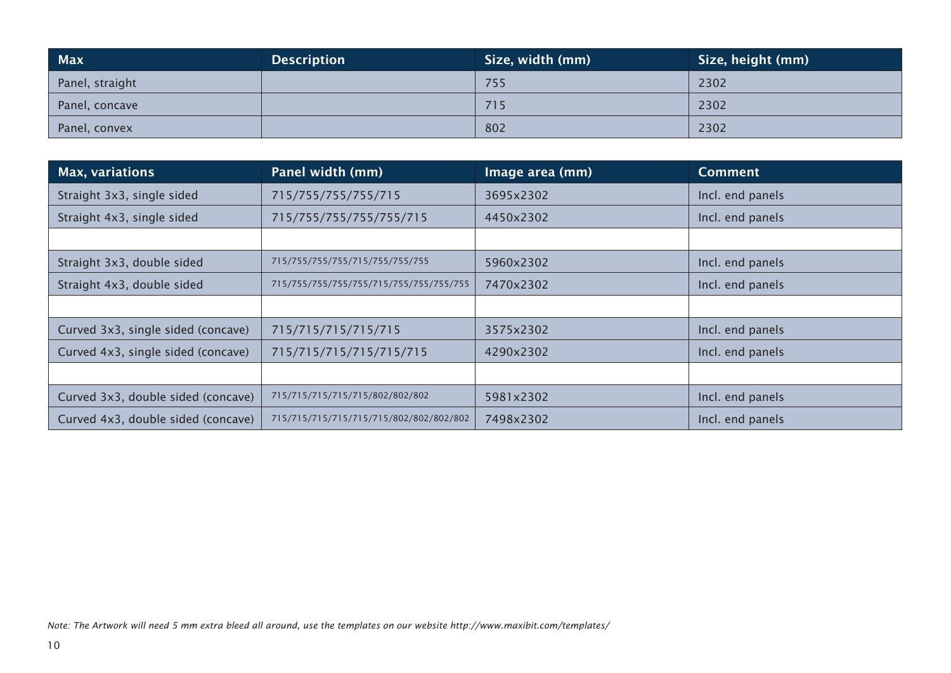| <b>Max</b>      | <b>Description</b> | Size, width (mm) | Size, height (mm) |
|-----------------|--------------------|------------------|-------------------|
| Panel, straight |                    | 755              | 2302              |
| Panel, concave  |                    | 715              | 2302              |
| Panel, convex   |                    | 802              | 2302              |

| <b>Max, variations</b>             | Panel width (mm)                        | Image area (mm) | <b>Comment</b>   |
|------------------------------------|-----------------------------------------|-----------------|------------------|
| Straight 3x3, single sided         | 715/755/755/755/715                     | 3695x2302       | Incl. end panels |
| Straight 4x3, single sided         | 715/755/755/755/755/715                 | 4450x2302       | Incl. end panels |
|                                    |                                         |                 |                  |
| Straight 3x3, double sided         | 715/755/755/755/715/755/755/755         | 5960x2302       | Incl. end panels |
| Straight 4x3, double sided         | 715/755/755/755/755/715/755/755/755     | 7470x2302       | Incl. end panels |
|                                    |                                         |                 |                  |
| Curved 3x3, single sided (concave) | 715/715/715/715/715                     | 3575x2302       | Incl. end panels |
| Curved 4x3, single sided (concave) | 715/715/715/715/715                     | 4290x2302       | Incl. end panels |
|                                    |                                         |                 |                  |
| Curved 3x3, double sided (concave) | 715/715/715/715/715/802/802/802         | 5981x2302       | Incl. end panels |
| Curved 4x3, double sided (concave) | 715/715/715/715/715/715/802/802/802/802 | 7498x2302       | Incl. end panels |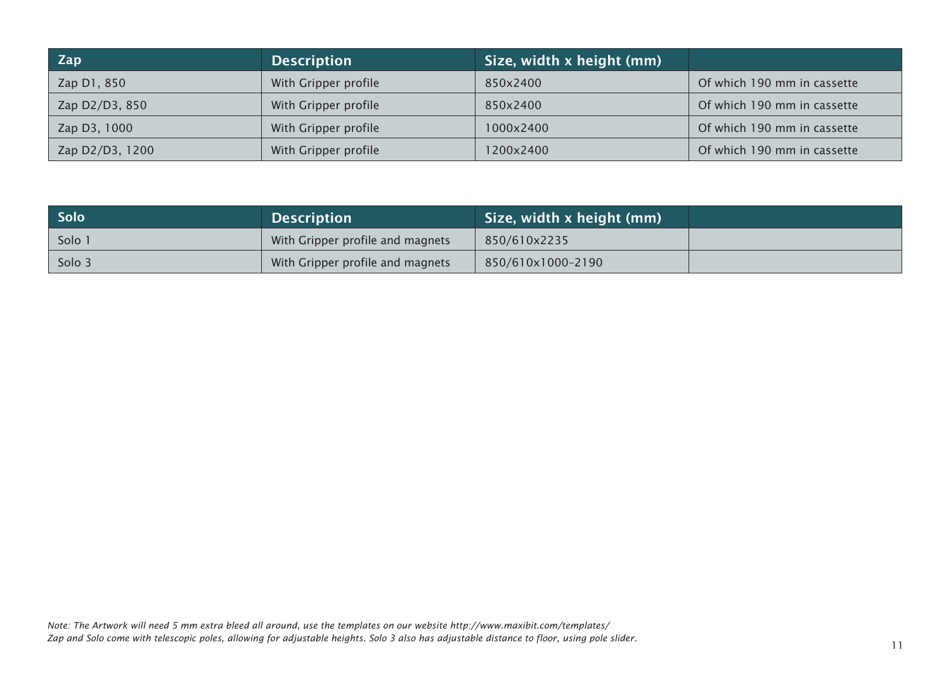| Zap             | <b>Description</b>   | Size, width x height (mm) |                             |
|-----------------|----------------------|---------------------------|-----------------------------|
| Zap D1, 850     | With Gripper profile | 850x2400                  | Of which 190 mm in cassette |
| Zap D2/D3, 850  | With Gripper profile | 850x2400                  | Of which 190 mm in cassette |
| Zap D3, 1000    | With Gripper profile | 1000x2400                 | Of which 190 mm in cassette |
| Zap D2/D3, 1200 | With Gripper profile | 200x2400                  | Of which 190 mm in cassette |

| <b>Solo</b> | <b>Description</b>               | Size, width x height (mm) |
|-------------|----------------------------------|---------------------------|
| Solo 1      | With Gripper profile and magnets | 850/610x2235              |
| Solo 3      | With Gripper profile and magnets | 850/610x1000-2190         |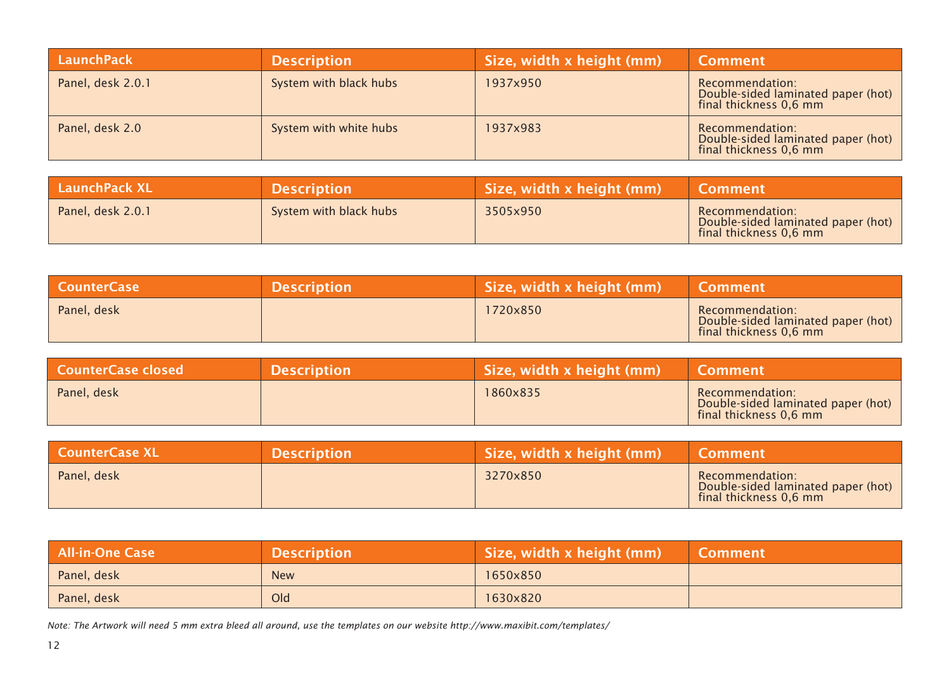| LaunchPack        | <b>Description</b>     | Size, width x height (mm) | <b>Comment</b>                                                                  |
|-------------------|------------------------|---------------------------|---------------------------------------------------------------------------------|
| Panel, desk 2.0.1 | System with black hubs | 1937x950                  | Recommendation:<br>Double-sided laminated paper (hot)<br>final thickness 0,6 mm |
| Panel, desk 2.0   | System with white hubs | 1937x983                  | Recommendation:<br>Double-sided laminated paper (hot)<br>final thickness 0,6 mm |

| <b>LaunchPack XL</b> | <b>Description</b>     | Size, width x height (mm) | <b>Comment</b>                                                                  |
|----------------------|------------------------|---------------------------|---------------------------------------------------------------------------------|
| Panel, desk 2.0.1    | System with black hubs | 3505x950                  | Recommendation:<br>Double-sided laminated paper (hot)<br>final thickness 0,6 mm |

| CounterCase | <b>Description</b> | Size, width x height (mm) | Comment                                                                         |
|-------------|--------------------|---------------------------|---------------------------------------------------------------------------------|
| Panel, desk |                    | 1720x850                  | Recommendation:<br>Double-sided laminated paper (hot)<br>final thickness 0,6 mm |

| l CounterCase closed <sub>l</sub> | <b>Description</b> | Size, width x height (mm) | <b>\Comment</b>                                                                 |
|-----------------------------------|--------------------|---------------------------|---------------------------------------------------------------------------------|
| Panel, desk                       |                    | 1860x835                  | Recommendation:<br>Double-sided laminated paper (hot)<br>final thickness 0,6 mm |

| <b>CounterCase XL</b> | <b>Description</b> | Size, width x height (mm) | <b>Comment</b>                                                                  |
|-----------------------|--------------------|---------------------------|---------------------------------------------------------------------------------|
| Panel, desk           |                    | 3270x850                  | Recommendation:<br>Double-sided laminated paper (hot)<br>final thickness 0,6 mm |

| <b>All-in-One Case</b> | <b>Description</b> | Size, width x height (mm) | <b>Comment</b> |
|------------------------|--------------------|---------------------------|----------------|
| Panel, desk            | <b>New</b>         | 1650x850                  |                |
| Panel, desk            | Old                | 1630x820                  |                |

*Note: The Artwork will need 5 mm extra bleed all around, use the templates on our website http://www.maxibit.com/templates/*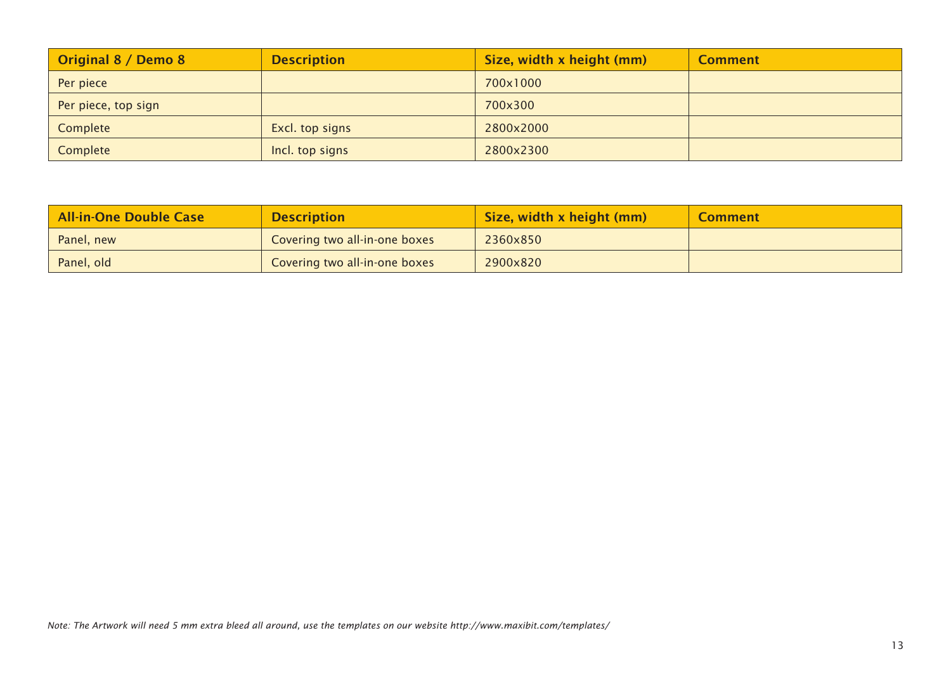| Original 8 / Demo 8 | <b>Description</b> | Size, width x height (mm) | <b>Comment</b> |
|---------------------|--------------------|---------------------------|----------------|
| Per piece           |                    | 700x1000                  |                |
| Per piece, top sign |                    | 700x300                   |                |
| Complete            | Excl. top signs    | 2800x2000                 |                |
| Complete            | Incl. top signs    | 2800x2300                 |                |

| All-in-One Double Case | <b>Description</b>            | Size, width x height (mm) | <b>Comment</b> |
|------------------------|-------------------------------|---------------------------|----------------|
| Panel, new             | Covering two all-in-one boxes | 2360x850                  |                |
| Panel, old             | Covering two all-in-one boxes | 2900x820                  |                |